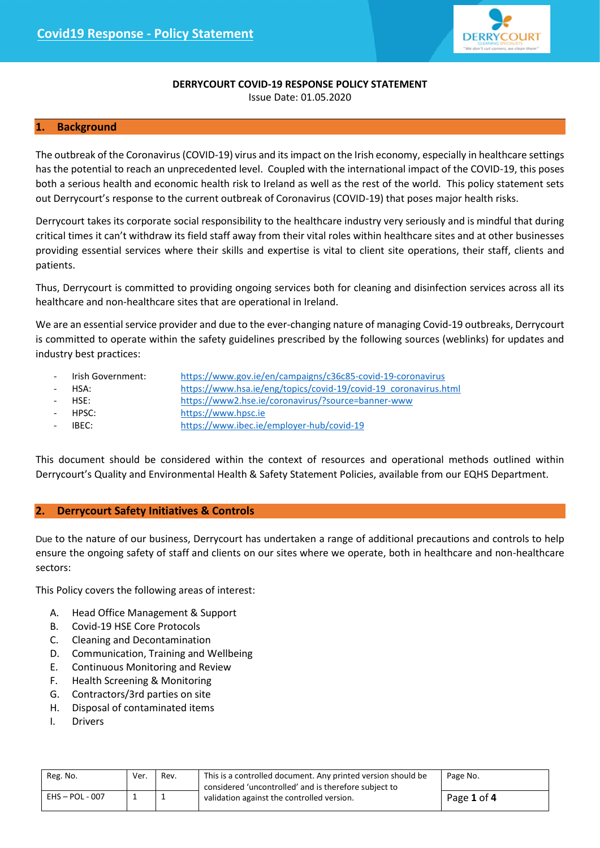

# **DERRYCOURT COVID-19 RESPONSE POLICY STATEMENT**

Issue Date: 01.05.2020

## **1. Background**

The outbreak of the Coronavirus (COVID-19) virus and its impact on the Irish economy, especially in healthcare settings has the potential to reach an unprecedented level. Coupled with the international impact of the COVID-19, this poses both a serious health and economic health risk to Ireland as well as the rest of the world. This policy statement sets out Derrycourt's response to the current outbreak of Coronavirus (COVID-19) that poses major health risks.

Derrycourt takes its corporate social responsibility to the healthcare industry very seriously and is mindful that during critical times it can't withdraw its field staff away from their vital roles within healthcare sites and at other businesses providing essential services where their skills and expertise is vital to client site operations, their staff, clients and patients.

Thus, Derrycourt is committed to providing ongoing services both for cleaning and disinfection services across all its healthcare and non-healthcare sites that are operational in Ireland.

We are an essential service provider and due to the ever-changing nature of managing Covid-19 outbreaks, Derrycourt is committed to operate within the safety guidelines prescribed by the following sources (weblinks) for updates and industry best practices:

- Irish Government: <https://www.gov.ie/en/campaigns/c36c85-covid-19-coronavirus>
	- HSA: [https://www.hsa.ie/eng/topics/covid-19/covid-19\\_coronavirus.html](https://www.hsa.ie/eng/topics/covid-19/covid-19_coronavirus.html)
	- HSE: <https://www2.hse.ie/coronavirus/?source=banner-www>
- HPSC: [https://www.hpsc.ie](https://www.hpsc.ie/)
- IBEC: <https://www.ibec.ie/employer-hub/covid-19>

This document should be considered within the context of resources and operational methods outlined within Derrycourt's Quality and Environmental Health & Safety Statement Policies, available from our EQHS Department.

# **2. Derrycourt Safety Initiatives & Controls**

Due to the nature of our business, Derrycourt has undertaken a range of additional precautions and controls to help ensure the ongoing safety of staff and clients on our sites where we operate, both in healthcare and non-healthcare sectors:

This Policy covers the following areas of interest:

- A. Head Office Management & Support
- B. Covid-19 HSE Core Protocols
- C. Cleaning and Decontamination
- D. Communication, Training and Wellbeing
- E. Continuous Monitoring and Review
- F. Health Screening & Monitoring
- G. Contractors/3rd parties on site
- H. Disposal of contaminated items
- I. Drivers

| Reg. No.          | Ver. | Rev. | This is a controlled document. Any printed version should be | Page No.    |
|-------------------|------|------|--------------------------------------------------------------|-------------|
|                   |      |      | considered 'uncontrolled' and is therefore subject to        |             |
| $EHS - POL - 007$ |      |      | validation against the controlled version.                   | Page 1 of 4 |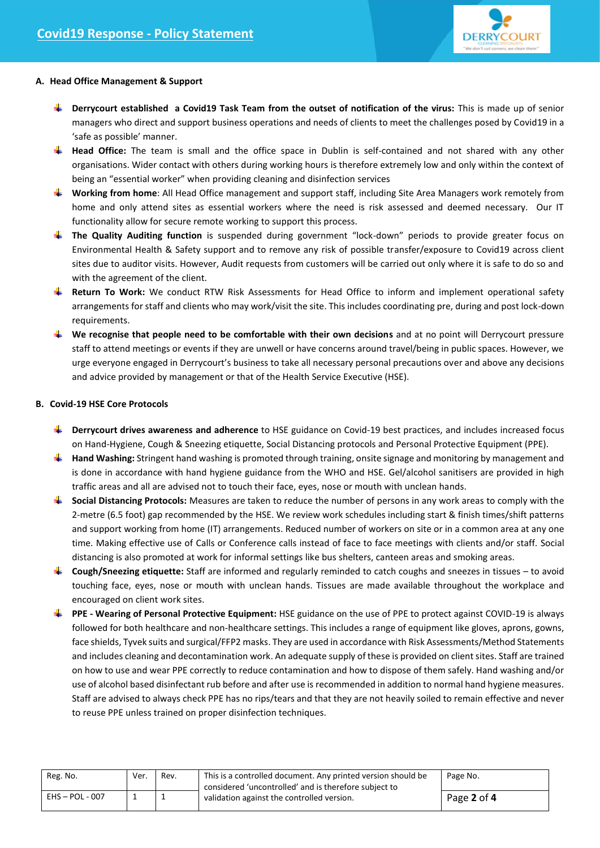

## **A. Head Office Management & Support**

- **Derrycourt established a Covid19 Task Team from the outset of notification of the virus:** This is made up of senior managers who direct and support business operations and needs of clients to meet the challenges posed by Covid19 in a 'safe as possible' manner.
- **Head Office:** The team is small and the office space in Dublin is self-contained and not shared with any other organisations. Wider contact with others during working hours is therefore extremely low and only within the context of being an "essential worker" when providing cleaning and disinfection services
- **Working from home**: All Head Office management and support staff, including Site Area Managers work remotely from home and only attend sites as essential workers where the need is risk assessed and deemed necessary. Our IT functionality allow for secure remote working to support this process.
- **The Quality Auditing function** is suspended during government "lock-down" periods to provide greater focus on Environmental Health & Safety support and to remove any risk of possible transfer/exposure to Covid19 across client sites due to auditor visits. However, Audit requests from customers will be carried out only where it is safe to do so and with the agreement of the client.
- **Return To Work:** We conduct RTW Risk Assessments for Head Office to inform and implement operational safety arrangements for staff and clients who may work/visit the site. This includes coordinating pre, during and post lock-down requirements.
- **We recognise that people need to be comfortable with their own decisions** and at no point will Derrycourt pressure staff to attend meetings or events if they are unwell or have concerns around travel/being in public spaces. However, we urge everyone engaged in Derrycourt's business to take all necessary personal precautions over and above any decisions and advice provided by management or that of the Health Service Executive (HSE).

#### **B. Covid-19 HSE Core Protocols**

- **Derrycourt drives awareness and adherence** to HSE guidance on Covid-19 best practices, and includes increased focus on Hand-Hygiene, Cough & Sneezing etiquette, Social Distancing protocols and Personal Protective Equipment (PPE).
- **Hand Washing:** Stringent hand washing is promoted through training, onsite signage and monitoring by management and is done in accordance with hand hygiene guidance from the WHO and HSE. Gel/alcohol sanitisers are provided in high traffic areas and all are advised not to touch their face, eyes, nose or mouth with unclean hands.
- **Social Distancing Protocols:** Measures are taken to reduce the number of persons in any work areas to comply with the 2-metre (6.5 foot) gap recommended by the HSE. We review work schedules including start & finish times/shift patterns and support working from home (IT) arrangements. Reduced number of workers on site or in a common area at any one time. Making effective use of Calls or Conference calls instead of face to face meetings with clients and/or staff. Social distancing is also promoted at work for informal settings like bus shelters, canteen areas and smoking areas.
- **Cough/Sneezing etiquette:** Staff are informed and regularly reminded to catch coughs and sneezes in tissues to avoid touching face, eyes, nose or mouth with unclean hands. Tissues are made available throughout the workplace and encouraged on client work sites.
- **PPE - Wearing of Personal Protective Equipment:** HSE guidance on the use of PPE to protect against COVID-19 is always followed for both healthcare and non-healthcare settings. This includes a range of equipment like gloves, aprons, gowns, face shields, Tyvek suits and surgical/FFP2 masks. They are used in accordance with Risk Assessments/Method Statements and includes cleaning and decontamination work. An adequate supply of these is provided on client sites. Staff are trained on how to use and wear PPE correctly to reduce contamination and how to dispose of them safely. Hand washing and/or use of alcohol based disinfectant rub before and after use is recommended in addition to normal hand hygiene measures. Staff are advised to always check PPE has no rips/tears and that they are not heavily soiled to remain effective and never to reuse PPE unless trained on proper disinfection techniques.

| Reg. No.          | Ver. | Rev. | This is a controlled document. Any printed version should be<br>considered 'uncontrolled' and is therefore subject to | Page No.    |
|-------------------|------|------|-----------------------------------------------------------------------------------------------------------------------|-------------|
| $EHS - POL - 007$ |      |      | validation against the controlled version.                                                                            | Page 2 of 4 |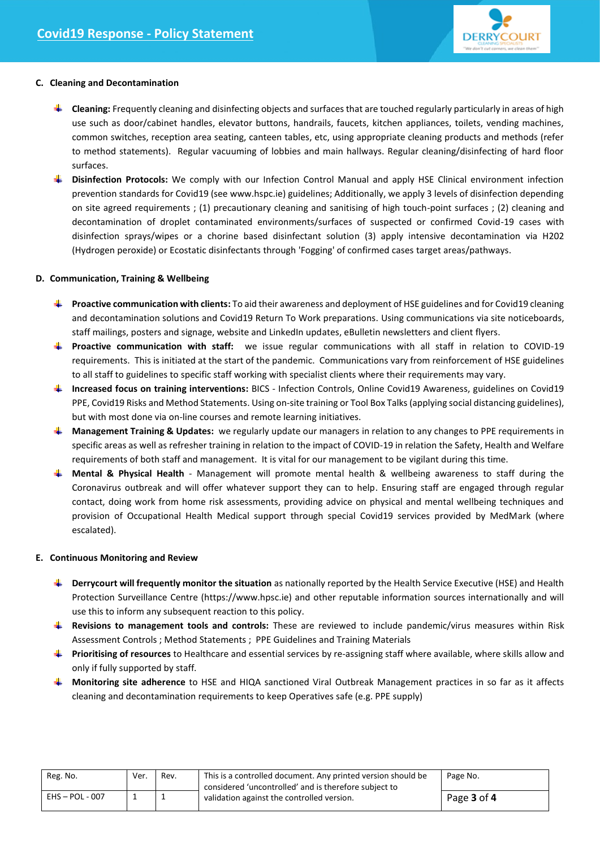

## **C. Cleaning and Decontamination**

- **Cleaning:** Frequently cleaning and disinfecting objects and surfaces that are touched regularly particularly in areas of high use such as door/cabinet handles, elevator buttons, handrails, faucets, kitchen appliances, toilets, vending machines, common switches, reception area seating, canteen tables, etc, using appropriate cleaning products and methods (refer to method statements). Regular vacuuming of lobbies and main hallways. Regular cleaning/disinfecting of hard floor surfaces.
- **Disinfection Protocols:** We comply with our Infection Control Manual and apply HSE Clinical environment infection prevention standards for Covid19 (see www.hspc.ie) guidelines; Additionally, we apply 3 levels of disinfection depending on site agreed requirements ; (1) precautionary cleaning and sanitising of high touch-point surfaces ; (2) cleaning and decontamination of droplet contaminated environments/surfaces of suspected or confirmed Covid-19 cases with disinfection sprays/wipes or a chorine based disinfectant solution (3) apply intensive decontamination via H202 (Hydrogen peroxide) or Ecostatic disinfectants through 'Fogging' of confirmed cases target areas/pathways.

## **D. Communication, Training & Wellbeing**

- **Proactive communication with clients:** To aid their awareness and deployment of HSE guidelines and for Covid19 cleaning and decontamination solutions and Covid19 Return To Work preparations. Using communications via site noticeboards, staff mailings, posters and signage, website and LinkedIn updates, eBulletin newsletters and client flyers.
- **Proactive communication with staff:** we issue regular communications with all staff in relation to COVID-19 requirements. This is initiated at the start of the pandemic. Communications vary from reinforcement of HSE guidelines to all staff to guidelines to specific staff working with specialist clients where their requirements may vary.
- **Increased focus on training interventions:** BICS Infection Controls, Online Covid19 Awareness, guidelines on Covid19 PPE, Covid19 Risks and Method Statements. Using on-site training or Tool Box Talks(applying social distancing guidelines), but with most done via on-line courses and remote learning initiatives.
- **Management Training & Updates:** we regularly update our managers in relation to any changes to PPE requirements in specific areas as well as refresher training in relation to the impact of COVID-19 in relation the Safety, Health and Welfare requirements of both staff and management. It is vital for our management to be vigilant during this time.
- **Mental & Physical Health** Management will promote mental health & wellbeing awareness to staff during the Coronavirus outbreak and will offer whatever support they can to help. Ensuring staff are engaged through regular contact, doing work from home risk assessments, providing advice on physical and mental wellbeing techniques and provision of Occupational Health Medical support through special Covid19 services provided by MedMark (where escalated).

## **E. Continuous Monitoring and Review**

- **Derrycourt will frequently monitor the situation** as nationally reported by the Health Service Executive (HSE) and Health Protection Surveillance Centre [\(https://www.hpsc.ie\)](https://www.hpsc.ie/) and other reputable information sources internationally and will use this to inform any subsequent reaction to this policy.
- **Revisions to management tools and controls:** These are reviewed to include pandemic/virus measures within Risk Assessment Controls ; Method Statements ; PPE Guidelines and Training Materials
- **Prioritising of resources** to Healthcare and essential services by re-assigning staff where available, where skills allow and only if fully supported by staff.
- **Monitoring site adherence** to HSE and HIQA sanctioned Viral Outbreak Management practices in so far as it affects cleaning and decontamination requirements to keep Operatives safe (e.g. PPE supply)

| Reg. No.          | Ver. | Rev. | This is a controlled document. Any printed version should be<br>considered 'uncontrolled' and is therefore subject to<br>validation against the controlled version. | Page No.    |
|-------------------|------|------|---------------------------------------------------------------------------------------------------------------------------------------------------------------------|-------------|
| $EHS - POL - 007$ |      |      |                                                                                                                                                                     | Page 3 of 4 |